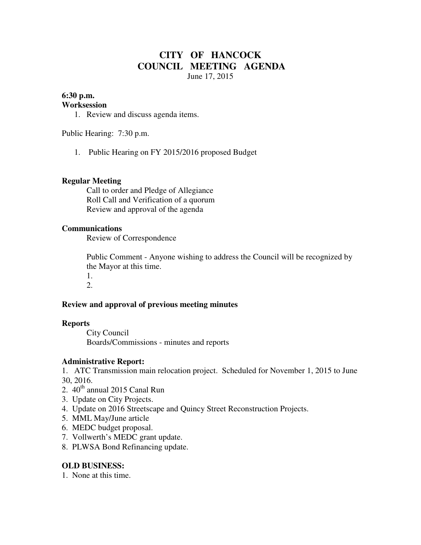# **CITY OF HANCOCK COUNCIL MEETING AGENDA**  June 17, 2015

## **6:30 p.m.**

## **Worksession**

1. Review and discuss agenda items.

Public Hearing: 7:30 p.m.

1. Public Hearing on FY 2015/2016 proposed Budget

## **Regular Meeting**

 Call to order and Pledge of Allegiance Roll Call and Verification of a quorum Review and approval of the agenda

## **Communications**

Review of Correspondence

 Public Comment - Anyone wishing to address the Council will be recognized by the Mayor at this time.

1. 2.

## **Review and approval of previous meeting minutes**

### **Reports**

City Council Boards/Commissions - minutes and reports

### **Administrative Report:**

1. ATC Transmission main relocation project. Scheduled for November 1, 2015 to June 30, 2016.

- 2.  $40<sup>th</sup>$  annual 2015 Canal Run
- 3. Update on City Projects.
- 4. Update on 2016 Streetscape and Quincy Street Reconstruction Projects.
- 5. MML May/June article
- 6. MEDC budget proposal.
- 7. Vollwerth's MEDC grant update.
- 8. PLWSA Bond Refinancing update.

### **OLD BUSINESS:**

1. None at this time.